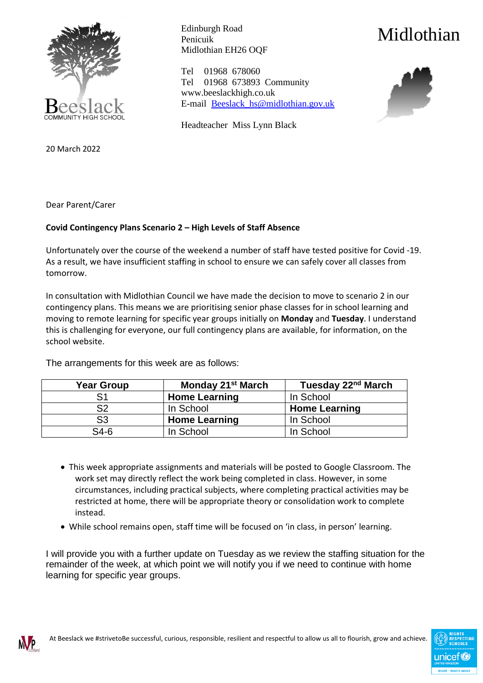

Edinburgh Road Penicuik Midlothian EH26 OQF Midlothian

Tel 01968 678060 Tel 01968 673893 Community www.beeslackhigh.co.uk E-mail [Beeslack\\_hs@midlothian.gov.uk](mailto:Beeslack_hs@midlothian.gov.uk)

Headteacher Miss Lynn Black



20 March 2022

Dear Parent/Carer

## **Covid Contingency Plans Scenario 2 – High Levels of Staff Absence**

Unfortunately over the course of the weekend a number of staff have tested positive for Covid -19. As a result, we have insufficient staffing in school to ensure we can safely cover all classes from tomorrow.

In consultation with Midlothian Council we have made the decision to move to scenario 2 in our contingency plans. This means we are prioritising senior phase classes for in school learning and moving to remote learning for specific year groups initially on **Monday** and **Tuesday**. I understand this is challenging for everyone, our full contingency plans are available, for information, on the school website.

| <b>Year Group</b> | Monday 21 <sup>st</sup> March | Tuesday 22 <sup>nd</sup> March |
|-------------------|-------------------------------|--------------------------------|
| S1                | <b>Home Learning</b>          | In School                      |
| S2                | In School                     | <b>Home Learning</b>           |
| S3                | <b>Home Learning</b>          | In School                      |
| $S4-6$            | In School                     | In School                      |

The arrangements for this week are as follows:

- This week appropriate assignments and materials will be posted to Google Classroom. The work set may directly reflect the work being completed in class. However, in some circumstances, including practical subjects, where completing practical activities may be restricted at home, there will be appropriate theory or consolidation work to complete instead.
- While school remains open, staff time will be focused on 'in class, in person' learning.

I will provide you with a further update on Tuesday as we review the staffing situation for the remainder of the week, at which point we will notify you if we need to continue with home learning for specific year groups.